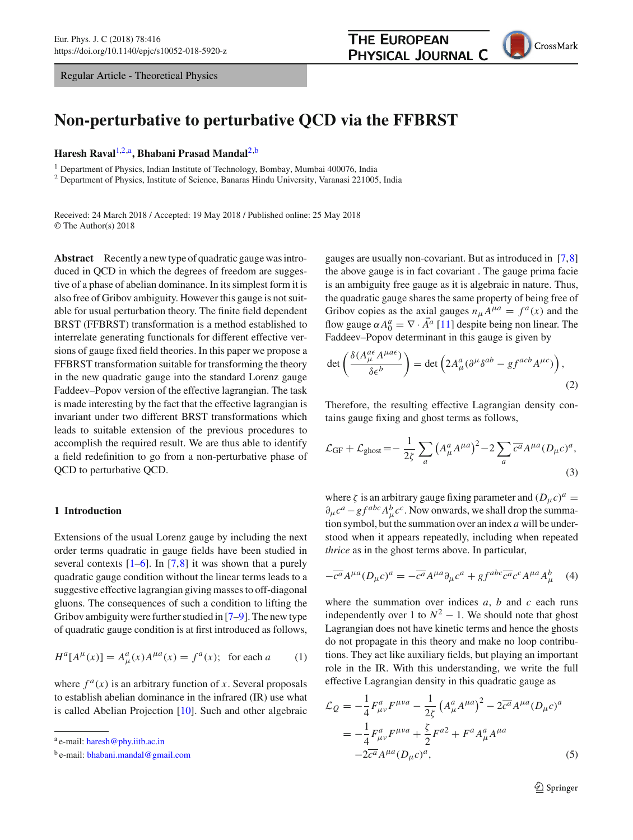Regular Article - Theoretical Physics

CrossMark

# **Non-perturbative to perturbative QCD via the FFBRST**

**Haresh Raval**[1,2,](#page-0-0)a**, Bhabani Prasad Mandal**[2,](#page-0-0)b

<sup>1</sup> Department of Physics, Indian Institute of Technology, Bombay, Mumbai 400076, India

<sup>2</sup> Department of Physics, Institute of Science, Banaras Hindu University, Varanasi 221005, India

Received: 24 March 2018 / Accepted: 19 May 2018 / Published online: 25 May 2018 © The Author(s) 2018

**Abstract** Recently a new type of quadratic gauge was introduced in QCD in which the degrees of freedom are suggestive of a phase of abelian dominance. In its simplest form it is also free of Gribov ambiguity. However this gauge is not suitable for usual perturbation theory. The finite field dependent BRST (FFBRST) transformation is a method established to interrelate generating functionals for different effective versions of gauge fixed field theories. In this paper we propose a FFBRST transformation suitable for transforming the theory in the new quadratic gauge into the standard Lorenz gauge Faddeev–Popov version of the effective lagrangian. The task is made interesting by the fact that the effective lagrangian is invariant under two different BRST transformations which leads to suitable extension of the previous procedures to accomplish the required result. We are thus able to identify a field redefinition to go from a non-perturbative phase of QCD to perturbative QCD.

#### **1 Introduction**

Extensions of the usual Lorenz gauge by including the next order terms quadratic in gauge fields have been studied in several contexts  $[1-6]$  $[1-6]$ . In  $[7,8]$  $[7,8]$  $[7,8]$  it was shown that a purely quadratic gauge condition without the linear terms leads to a suggestive effective lagrangian giving masses to off-diagonal gluons. The consequences of such a condition to lifting the Gribov ambiguity were further studied in [\[7](#page-5-2)[–9\]](#page-5-4). The new type of quadratic gauge condition is at first introduced as follows,

$$
H^{a}[A^{\mu}(x)] = A^{a}_{\mu}(x)A^{\mu a}(x) = f^{a}(x); \text{ for each } a \qquad (1)
$$

where  $f^a(x)$  is an arbitrary function of *x*. Several proposals to establish abelian dominance in the infrared (IR) use what is called Abelian Projection [\[10\]](#page-5-5). Such and other algebraic

<span id="page-0-0"></span>gauges are usually non-covariant. But as introduced in [\[7,](#page-5-2)[8\]](#page-5-3) the above gauge is in fact covariant . The gauge prima facie is an ambiguity free gauge as it is algebraic in nature. Thus, the quadratic gauge shares the same property of being free of Gribov copies as the axial gauges  $n_{\mu}A^{\mu a} = f^{a}(x)$  and the flow gauge  $\alpha A_0^a = \nabla \cdot \vec{A}^a$  [\[11](#page-5-6)] despite being non linear. The Faddeev–Popov determinant in this gauge is given by

$$
\det\left(\frac{\delta(A_{\mu}^{a\epsilon}A^{\mu a\epsilon})}{\delta\epsilon^{b}}\right) = \det\left(2A_{\mu}^{a}(\partial^{\mu}\delta^{ab} - gf^{acb}A^{\mu c})\right),\tag{2}
$$

Therefore, the resulting effective Lagrangian density contains gauge fixing and ghost terms as follows,

$$
\mathcal{L}_{\rm GF} + \mathcal{L}_{\rm ghost} = -\frac{1}{2\zeta} \sum_{a} \left( A^a_{\mu} A^{\mu a} \right)^2 - 2 \sum_{a} \overline{c^a} A^{\mu a} (D_{\mu} c)^a,
$$
\n(3)

where  $\zeta$  is an arbitrary gauge fixing parameter and  $(D_{\mu}c)^{a}$  =  $\partial_{\mu} c^{a} - gf^{abc} A_{\mu}^{b} c^{c}$ . Now onwards, we shall drop the summation symbol, but the summation over an index *a* will be understood when it appears repeatedly, including when repeated *thrice* as in the ghost terms above. In particular,

<span id="page-0-1"></span>
$$
-\overline{c^a}A^{\mu a}(D_{\mu}c)^a = -\overline{c^a}A^{\mu a}\partial_{\mu}c^a + gf^{abc}\overline{c^a}c^cA^{\mu a}A^b_{\mu} \quad (4)
$$

where the summation over indices  $a$ ,  $b$  and  $c$  each runs independently over 1 to  $N^2 - 1$ . We should note that ghost Lagrangian does not have kinetic terms and hence the ghosts do not propagate in this theory and make no loop contributions. They act like auxiliary fields, but playing an important role in the IR. With this understanding, we write the full effective Lagrangian density in this quadratic gauge as

<span id="page-0-2"></span>
$$
\mathcal{L}_{Q} = -\frac{1}{4} F_{\mu\nu}^{a} F^{\mu\nu a} - \frac{1}{2\xi} \left( A_{\mu}^{a} A^{\mu a} \right)^{2} - 2 \overline{c^{a}} A^{\mu a} (D_{\mu} c)^{a}
$$

$$
= -\frac{1}{4} F_{\mu\nu}^{a} F^{\mu\nu a} + \frac{\xi}{2} F^{a2} + F^{a} A_{\mu}^{a} A^{\mu a}
$$

$$
-2 \overline{c^{a}} A^{\mu a} (D_{\mu} c)^{a}, \qquad (5)
$$

<sup>a</sup> e-mail: [haresh@phy.iitb.ac.in](mailto:haresh@phy.iitb.ac.in)

<sup>&</sup>lt;sup>b</sup> e-mail: [bhabani.mandal@gmail.com](mailto:bhabani.mandal@gmail.com)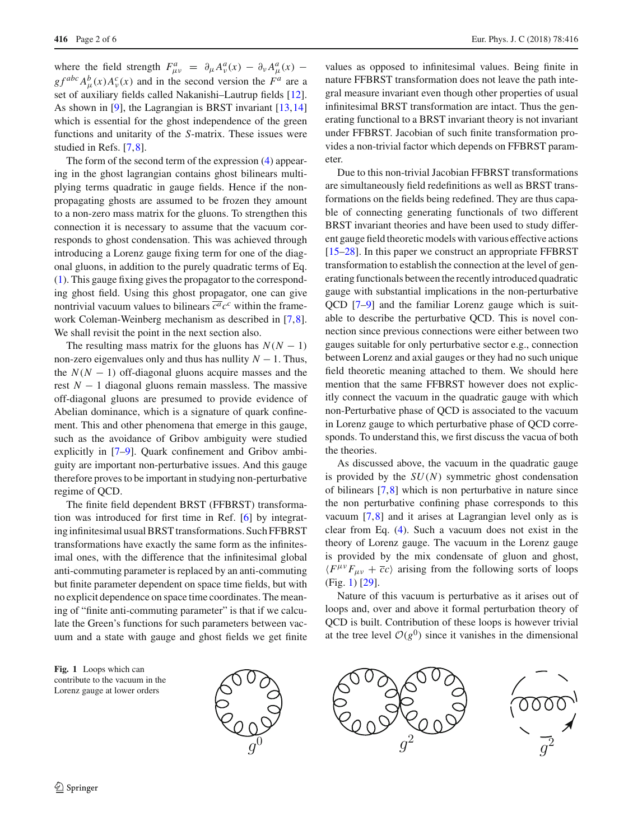where the field strength  $F^a_{\mu\nu} = \partial_\mu A^a_\nu(x) - \partial_\nu A^a_\mu(x)$  $gf^{abc}A^b_\mu(x)A^c_\nu(x)$  and in the second version the  $F^a$  are a set of auxiliary fields called Nakanishi–Lautrup fields [\[12](#page-5-7)]. As shown in [\[9](#page-5-4)], the Lagrangian is BRST invariant [\[13,](#page-5-8)[14\]](#page-5-9) which is essential for the ghost independence of the green functions and unitarity of the *S*-matrix. These issues were studied in Refs. [\[7](#page-5-2)[,8](#page-5-3)].

The form of the second term of the expression [\(4\)](#page-0-1) appearing in the ghost lagrangian contains ghost bilinears multiplying terms quadratic in gauge fields. Hence if the nonpropagating ghosts are assumed to be frozen they amount to a non-zero mass matrix for the gluons. To strengthen this connection it is necessary to assume that the vacuum corresponds to ghost condensation. This was achieved through introducing a Lorenz gauge fixing term for one of the diagonal gluons, in addition to the purely quadratic terms of Eq. [\(1\)](#page-0-2). This gauge fixing gives the propagator to the corresponding ghost field. Using this ghost propagator, one can give nontrivial vacuum values to bilinears  $\overline{c^a}c^c$  within the framework Coleman-Weinberg mechanism as described in [\[7](#page-5-2)[,8](#page-5-3)]. We shall revisit the point in the next section also.

The resulting mass matrix for the gluons has  $N(N - 1)$ non-zero eigenvalues only and thus has nullity  $N - 1$ . Thus, the  $N(N - 1)$  off-diagonal gluons acquire masses and the rest  $N-1$  diagonal gluons remain massless. The massive off-diagonal gluons are presumed to provide evidence of Abelian dominance, which is a signature of quark confinement. This and other phenomena that emerge in this gauge, such as the avoidance of Gribov ambiguity were studied explicitly in [\[7](#page-5-2)[–9\]](#page-5-4). Quark confinement and Gribov ambiguity are important non-perturbative issues. And this gauge therefore proves to be important in studying non-perturbative regime of QCD.

The finite field dependent BRST (FFBRST) transformation was introduced for first time in Ref. [\[6](#page-5-1)] by integrating infinitesimal usual BRST transformations. Such FFBRST transformations have exactly the same form as the infinitesimal ones, with the difference that the infinitesimal global anti-commuting parameter is replaced by an anti-commuting but finite parameter dependent on space time fields, but with no explicit dependence on space time coordinates. The meaning of "finite anti-commuting parameter" is that if we calculate the Green's functions for such parameters between vacuum and a state with gauge and ghost fields we get finite

values as opposed to infinitesimal values. Being finite in nature FFBRST transformation does not leave the path integral measure invariant even though other properties of usual infinitesimal BRST transformation are intact. Thus the generating functional to a BRST invariant theory is not invariant under FFBRST. Jacobian of such finite transformation provides a non-trivial factor which depends on FFBRST parameter.

Due to this non-trivial Jacobian FFBRST transformations are simultaneously field redefinitions as well as BRST transformations on the fields being redefined. They are thus capable of connecting generating functionals of two different BRST invariant theories and have been used to study different gauge field theoretic models with various effective actions [\[15](#page-5-10)[–28](#page-5-11)]. In this paper we construct an appropriate FFBRST transformation to establish the connection at the level of generating functionals between the recently introduced quadratic gauge with substantial implications in the non-perturbative QCD [\[7](#page-5-2)[–9\]](#page-5-4) and the familiar Lorenz gauge which is suitable to describe the perturbative QCD. This is novel connection since previous connections were either between two gauges suitable for only perturbative sector e.g., connection between Lorenz and axial gauges or they had no such unique field theoretic meaning attached to them. We should here mention that the same FFBRST however does not explicitly connect the vacuum in the quadratic gauge with which non-Perturbative phase of QCD is associated to the vacuum in Lorenz gauge to which perturbative phase of QCD corresponds. To understand this, we first discuss the vacua of both the theories.

As discussed above, the vacuum in the quadratic gauge is provided by the *SU*(*N*) symmetric ghost condensation of bilinears  $[7,8]$  $[7,8]$  $[7,8]$  which is non perturbative in nature since the non perturbative confining phase corresponds to this vacuum [\[7](#page-5-2)[,8](#page-5-3)] and it arises at Lagrangian level only as is clear from Eq. [\(4\)](#page-0-1). Such a vacuum does not exist in the theory of Lorenz gauge. The vacuum in the Lorenz gauge is provided by the mix condensate of gluon and ghost,  $\langle F^{\mu\nu} F_{\mu\nu} + \bar{c} c \rangle$  arising from the following sorts of loops (Fig. [1\)](#page-1-0) [\[29\]](#page-5-12).

Nature of this vacuum is perturbative as it arises out of loops and, over and above it formal perturbation theory of QCD is built. Contribution of these loops is however trivial at the tree level  $\mathcal{O}(g^0)$  since it vanishes in the dimensional

<span id="page-1-0"></span>**Fig. 1** Loops which can contribute to the vacuum in the Lorenz gauge at lower orders



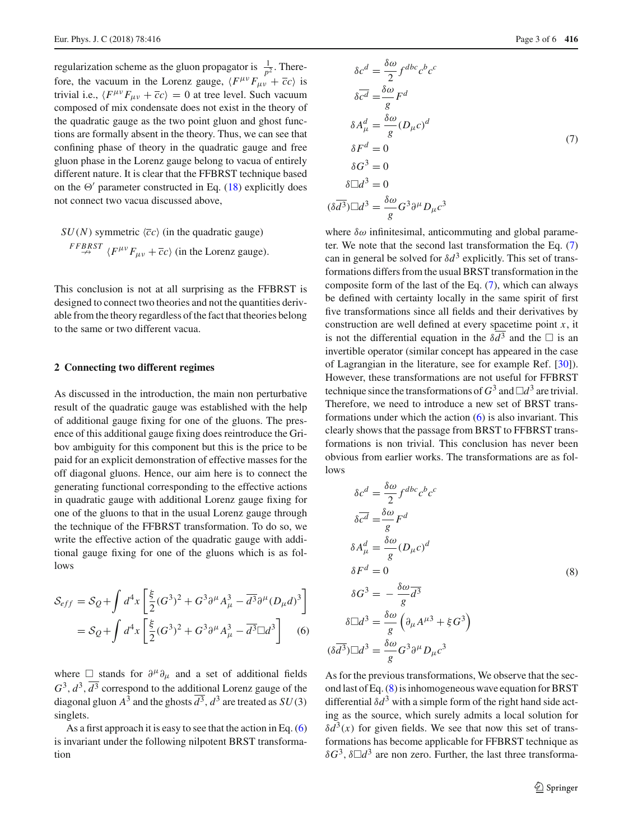regularization scheme as the gluon propagator is  $\frac{1}{p^2}$ . Therefore, the vacuum in the Lorenz gauge,  $\langle F^{\mu\nu} F_{\mu\nu}^{\ \ r} + \bar{c} c \rangle$  is trivial i.e.,  $\langle F^{\mu\nu} F_{\mu\nu} + \overline{c} c \rangle = 0$  at tree level. Such vacuum composed of mix condensate does not exist in the theory of the quadratic gauge as the two point gluon and ghost functions are formally absent in the theory. Thus, we can see that confining phase of theory in the quadratic gauge and free gluon phase in the Lorenz gauge belong to vacua of entirely different nature. It is clear that the FFBRST technique based on the  $\Theta'$  parameter constructed in Eq. [\(18\)](#page-4-0) explicitly does not connect two vacua discussed above,

$$
SU(N) \text{ symmetric } \langle \overline{c}c \rangle \text{ (in the quadratic gauge)}
$$
  

$$
^{FFBRST} F^{L\mu\nu} F_{\mu\nu} + \overline{c}c \rangle \text{ (in the Lorenz gauge)}.
$$

This conclusion is not at all surprising as the FFBRST is designed to connect two theories and not the quantities derivable from the theory regardless of the fact that theories belong to the same or two different vacua.

### **2 Connecting two different regimes**

As discussed in the introduction, the main non perturbative result of the quadratic gauge was established with the help of additional gauge fixing for one of the gluons. The presence of this additional gauge fixing does reintroduce the Gribov ambiguity for this component but this is the price to be paid for an explicit demonstration of effective masses for the off diagonal gluons. Hence, our aim here is to connect the generating functional corresponding to the effective actions in quadratic gauge with additional Lorenz gauge fixing for one of the gluons to that in the usual Lorenz gauge through the technique of the FFBRST transformation. To do so, we write the effective action of the quadratic gauge with additional gauge fixing for one of the gluons which is as follows

<span id="page-2-0"></span>
$$
S_{eff} = S_Q + \int d^4x \left[ \frac{\xi}{2} (G^3)^2 + G^3 \partial^\mu A_\mu^3 - \overline{d^3} \partial^\mu (D_\mu d)^3 \right]
$$
  
=  $S_Q + \int d^4x \left[ \frac{\xi}{2} (G^3)^2 + G^3 \partial^\mu A_\mu^3 - \overline{d^3} \Box d^3 \right]$  (6)

where  $\Box$  stands for  $\partial^{\mu}\partial_{\mu}$  and a set of additional fields  $G^3$ ,  $d^3$ ,  $d^3$  correspond to the additional Lorenz gauge of the diagonal gluon  $A^3$  and the ghosts  $\overline{d^3}$ ,  $d^3$  are treated as  $SU(3)$ singlets.

As a first approach it is easy to see that the action in Eq. [\(6\)](#page-2-0) is invariant under the following nilpotent BRST transformation

<span id="page-2-1"></span>
$$
\delta c^d = \frac{\delta \omega}{2} f^{dbc} c^b c^c
$$
  
\n
$$
\delta \overline{c^d} = \frac{\delta \omega}{g} F^d
$$
  
\n
$$
\delta A^d_\mu = \frac{\delta \omega}{g} (D_\mu c)^d
$$
  
\n
$$
\delta F^d = 0
$$
  
\n
$$
\delta G^3 = 0
$$
  
\n
$$
\delta \overline{d^3} = 0
$$
  
\n
$$
(\delta \overline{d^3}) \Box d^3 = \frac{\delta \omega}{g} G^3 \partial^\mu D_\mu c^3
$$
\n(7)

where  $\delta\omega$  infinitesimal, anticommuting and global parameter. We note that the second last transformation the Eq. [\(7\)](#page-2-1) can in general be solved for  $\delta d^3$  explicitly. This set of transformations differs from the usual BRST transformation in the composite form of the last of the Eq. [\(7\)](#page-2-1), which can always be defined with certainty locally in the same spirit of first five transformations since all fields and their derivatives by construction are well defined at every spacetime point *x*, it is not the differential equation in the  $\delta d^3$  and the  $\Box$  is an invertible operator (similar concept has appeared in the case of Lagrangian in the literature, see for example Ref. [\[30](#page-5-13)]). However, these transformations are not useful for FFBRST technique since the transformations of  $G^3$  and  $\Box d^3$  are trivial. Therefore, we need to introduce a new set of BRST transformations under which the action  $(6)$  is also invariant. This clearly shows that the passage from BRST to FFBRST transformations is non trivial. This conclusion has never been obvious from earlier works. The transformations are as follows

<span id="page-2-2"></span>
$$
\delta c^{d} = \frac{\delta \omega}{2} f^{dbc} c^{b} c^{c}
$$
  
\n
$$
\delta \overline{c^{d}} = \frac{\delta \omega}{g} F^{d}
$$
  
\n
$$
\delta A^{d}_{\mu} = \frac{\delta \omega}{g} (D_{\mu} c)^{d}
$$
  
\n
$$
\delta F^{d} = 0
$$
  
\n
$$
\delta G^{3} = -\frac{\delta \omega}{g} \overline{d^{3}}
$$
  
\n
$$
\delta \Box d^{3} = \frac{\delta \omega}{g} \left( \partial_{\mu} A^{\mu 3} + \xi G^{3} \right)
$$
  
\n
$$
(\delta \overline{d^{3}}) \Box d^{3} = \frac{\delta \omega}{g} G^{3} \partial^{\mu} D_{\mu} c^{3}
$$
  
\n(8)

As for the previous transformations, We observe that the second last of Eq. [\(8\)](#page-2-2) is inhomogeneous wave equation for BRST differential  $\delta d^3$  with a simple form of the right hand side acting as the source, which surely admits a local solution for  $\delta d^3(x)$  for given fields. We see that now this set of transformations has become applicable for FFBRST technique as  $\delta G^3$ ,  $\delta \Box d^3$  are non zero. Further, the last three transforma-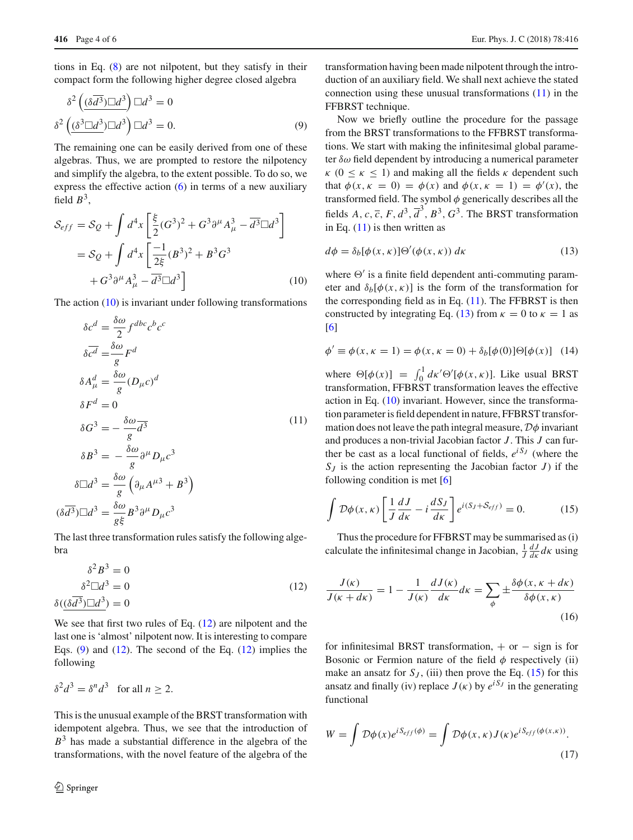tions in Eq. [\(8\)](#page-2-2) are not nilpotent, but they satisfy in their compact form the following higher degree closed algebra

<span id="page-3-2"></span>
$$
\delta^2 \left( \underbrace{(\delta \overline{d^3}) \Box d^3}_{\delta} \right) \Box d^3 = 0
$$
  

$$
\delta^2 \left( \underbrace{(\delta^3 \Box d^3)}_{\delta} \Box d^3 \right) \Box d^3 = 0.
$$
 (9)

The remaining one can be easily derived from one of these algebras. Thus, we are prompted to restore the nilpotency and simplify the algebra, to the extent possible. To do so, we express the effective action  $(6)$  in terms of a new auxiliary field  $B^3$ ,

<span id="page-3-0"></span>
$$
\mathcal{S}_{eff} = \mathcal{S}_{Q} + \int d^{4}x \left[ \frac{\xi}{2} (G^{3})^{2} + G^{3} \partial^{\mu} A_{\mu}^{3} - \overline{d^{3}} \Box d^{3} \right]
$$
  
=  $\mathcal{S}_{Q} + \int d^{4}x \left[ \frac{-1}{2\xi} (B^{3})^{2} + B^{3} G^{3} + G^{3} \partial^{\mu} A_{\mu}^{3} - \overline{d^{3}} \Box d^{3} \right]$  (10)

The action  $(10)$  is invariant under following transformations

<span id="page-3-3"></span>
$$
\delta c^d = \frac{\delta \omega}{2} f^{dbc} c^b c^c
$$
  
\n
$$
\delta \overline{c^d} = \frac{\delta \omega}{g} F^d
$$
  
\n
$$
\delta A^d_\mu = \frac{\delta \omega}{g} (D_\mu c)^d
$$
  
\n
$$
\delta F^d = 0
$$
  
\n
$$
\delta G^3 = -\frac{\delta \omega}{g} \overline{d^3}
$$
  
\n
$$
\delta B^3 = -\frac{\delta \omega}{g} \partial^\mu D_\mu c^3
$$
  
\n
$$
\delta \Box d^3 = \frac{\delta \omega}{g} \left( \partial_\mu A^{\mu 3} + B^3 \right)
$$
  
\n
$$
(\delta \overline{d^3}) \Box d^3 = \frac{\delta \omega}{g} B^3 \partial^\mu D_\mu c^3
$$
  
\n(11)

The last three transformation rules satisfy the following algebra

<span id="page-3-1"></span>
$$
\delta^2 B^3 = 0
$$
  

$$
\delta^2 \Box d^3 = 0
$$
  

$$
\delta \left( \frac{(\delta \overline{d^3}) \Box d^3}{\delta^2} \right) = 0
$$
 (12)

We see that first two rules of Eq.  $(12)$  are nilpotent and the last one is 'almost' nilpotent now. It is interesting to compare Eqs.  $(9)$  and  $(12)$ . The second of the Eq.  $(12)$  implies the following

$$
\delta^2 d^3 = \delta^n d^3 \quad \text{for all } n \ge 2.
$$

This is the unusual example of the BRST transformation with idempotent algebra. Thus, we see that the introduction of  $B<sup>3</sup>$  has made a substantial difference in the algebra of the transformations, with the novel feature of the algebra of the

transformation having been made nilpotent through the introduction of an auxiliary field. We shall next achieve the stated connection using these unusual transformations [\(11\)](#page-3-3) in the FFBRST technique.

Now we briefly outline the procedure for the passage from the BRST transformations to the FFBRST transformations. We start with making the infinitesimal global parameter  $\delta\omega$  field dependent by introducing a numerical parameter  $\kappa$  (0  $\leq \kappa \leq$  1) and making all the fields  $\kappa$  dependent such that  $\phi(x, \kappa = 0) = \phi(x)$  and  $\phi(x, \kappa = 1) = \phi'(x)$ , the transformed field. The symbol  $\phi$  generically describes all the fields  $A, c, \overline{c}, F, d^3, \overline{d}^3, B^3, G^3$ . The BRST transformation in Eq.  $(11)$  is then written as

<span id="page-3-4"></span>
$$
d\phi = \delta_b[\phi(x,\kappa)]\Theta'(\phi(x,\kappa))\,d\kappa\tag{13}
$$

where  $\Theta'$  is a finite field dependent anti-commuting parameter and  $\delta_b[\phi(x, \kappa)]$  is the form of the transformation for the corresponding field as in Eq.  $(11)$ . The FFBRST is then constructed by integrating Eq. [\(13\)](#page-3-4) from  $\kappa = 0$  to  $\kappa = 1$  as [\[6](#page-5-1)]

$$
\phi' \equiv \phi(x, \kappa = 1) = \phi(x, \kappa = 0) + \delta_b[\phi(0)] \Theta[\phi(x)] \tag{14}
$$

where  $\Theta[\phi(x)] = \int_0^1 d\kappa' \Theta'[\phi(x, \kappa)]$ . Like usual BRST transformation, FFBRST transformation leaves the effective action in Eq. [\(10\)](#page-3-0) invariant. However, since the transformation parameter is field dependent in nature, FFBRST transformation does not leave the path integral measure, *D*φ invariant and produces a non-trivial Jacobian factor *J* . This *J* can further be cast as a local functional of fields,  $e^{iS_J}$  (where the  $S_I$  is the action representing the Jacobian factor *J*) if the following condition is met [\[6](#page-5-1)]

<span id="page-3-5"></span>
$$
\int \mathcal{D}\phi(x,\kappa) \left[ \frac{1}{J} \frac{dJ}{d\kappa} - i \frac{dS_J}{d\kappa} \right] e^{i(S_J + S_{eff})} = 0. \tag{15}
$$

Thus the procedure for FFBRST may be summarised as (i) calculate the infinitesimal change in Jacobian,  $\frac{1}{J} \frac{dJ}{dk} d\kappa$  using

$$
\frac{J(\kappa)}{J(\kappa + d\kappa)} = 1 - \frac{1}{J(\kappa)} \frac{dJ(\kappa)}{d\kappa} d\kappa = \sum_{\phi} \pm \frac{\delta \phi(x, \kappa + d\kappa)}{\delta \phi(x, \kappa)}
$$
(16)

for infinitesimal BRST transformation,  $+$  or  $-$  sign is for Bosonic or Fermion nature of the field  $\phi$  respectively (ii) make an ansatz for  $S_J$ , (iii) then prove the Eq. [\(15\)](#page-3-5) for this ansatz and finally (iv) replace  $J(\kappa)$  by  $e^{iS_J}$  in the generating functional

$$
W = \int \mathcal{D}\phi(x)e^{iS_{eff}(\phi)} = \int \mathcal{D}\phi(x,\kappa)J(\kappa)e^{iS_{eff}(\phi(x,\kappa))}.
$$
\n(17)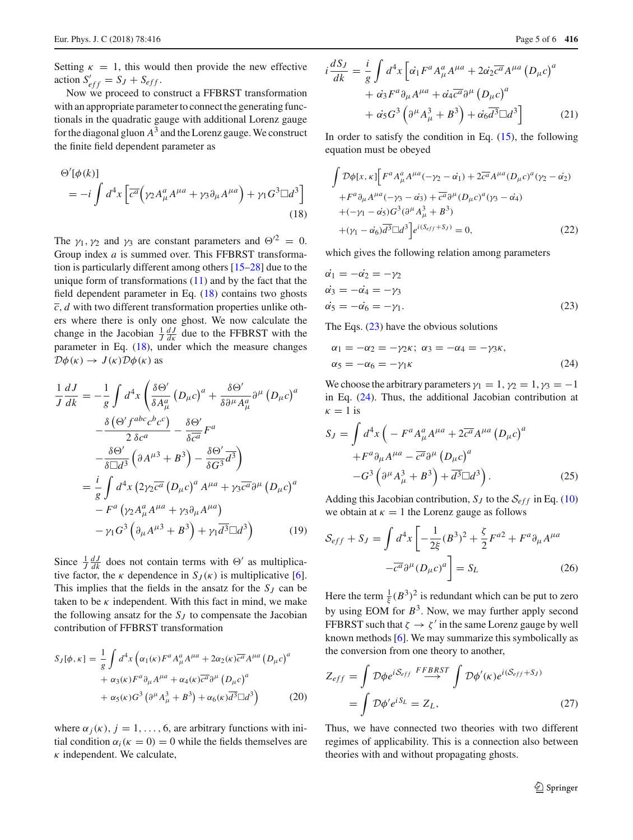Setting  $\kappa = 1$ , this would then provide the new effective action  $S'_{eff} = S_J + S_{eff}$ .

Now we proceed to construct a FFBRST transformation with an appropriate parameter to connect the generating functionals in the quadratic gauge with additional Lorenz gauge for the diagonal gluon  $A<sup>3</sup>$  and the Lorenz gauge. We construct the finite field dependent parameter as

<span id="page-4-0"></span>
$$
\Theta'[\phi(k)]
$$
  
=  $-i \int d^4x \left[ \overline{c^a} \left( \gamma_2 A^a_\mu A^{\mu a} + \gamma_3 \partial_\mu A^{\mu a} \right) + \gamma_1 G^3 \Box d^3 \right]$  (18)

The  $\gamma_1, \gamma_2$  and  $\gamma_3$  are constant parameters and  $\Theta'^2 = 0$ . Group index *a* is summed over. This FFBRST transformation is particularly different among others [\[15](#page-5-10)[–28](#page-5-11)] due to the unique form of transformations [\(11\)](#page-3-3) and by the fact that the field dependent parameter in Eq.  $(18)$  contains two ghosts  $\overline{c}$ , *d* with two different transformation properties unlike others where there is only one ghost. We now calculate the change in the Jacobian  $\frac{1}{J} \frac{dJ}{dx}$  due to the FFBRST with the parameter in Eq. [\(18\)](#page-4-0), under which the measure changes  $\mathcal{D}\phi(\kappa) \rightarrow J(\kappa)\mathcal{D}\phi(\kappa)$  as

$$
\frac{1}{J}\frac{dJ}{dk} = -\frac{1}{g} \int d^4x \left( \frac{\delta \Theta'}{\delta A^a_\mu} \left( D_\mu c \right)^a + \frac{\delta \Theta'}{\delta \partial^\mu A^a_\mu} \partial^\mu \left( D_\mu c \right)^a \right. \left. - \frac{\delta \left( \Theta' f^{abc} c^b c^c \right)}{2 \delta c^a} - \frac{\delta \Theta'}{\delta \overline{c^a}} F^a \right. \left. - \frac{\delta \Theta'}{\delta \Box d^3} \left( \partial A^{\mu 3} + B^3 \right) - \frac{\delta \Theta'}{\delta G^3} \overline{d^3} \right) \left. = \frac{i}{g} \int d^4x \left( 2 \gamma_2 \overline{c^a} \left( D_\mu c \right)^a A^{\mu a} + \gamma_3 \overline{c^a} \partial^\mu \left( D_\mu c \right)^a \right. \left. - F^a \left( \gamma_2 A^a_\mu A^{\mu a} + \gamma_3 \partial_\mu A^{\mu a} \right) \right. \left. - \gamma_1 G^3 \left( \partial_\mu A^{\mu 3} + B^3 \right) + \gamma_1 \overline{d^3} \Box d^3 \right) \right) \tag{19}
$$

Since  $\frac{1}{J} \frac{dJ}{dk}$  does not contain terms with  $\Theta'$  as multiplicative factor, the  $\kappa$  dependence in  $S_J(\kappa)$  is multiplicative [\[6](#page-5-1)]. This implies that the fields in the ansatz for the *SJ* can be taken to be  $\kappa$  independent. With this fact in mind, we make the following ansatz for the  $S_J$  to compensate the Jacobian contribution of FFBRST transformation

$$
S_J[\phi,\kappa] = \frac{1}{g} \int d^4x \left( \alpha_1(\kappa) F^a A^a_\mu A^{\mu a} + 2\alpha_2(\kappa) \overline{c^a} A^{\mu a} \left( D_\mu c \right)^a \right. \\ + \left. \alpha_3(\kappa) F^a \partial_\mu A^{\mu a} + \alpha_4(\kappa) \overline{c^a} \partial^\mu \left( D_\mu c \right)^a \right. \\ + \left. \alpha_5(\kappa) G^3 \left( \partial^\mu A^3_\mu + B^3 \right) + \alpha_6(\kappa) \overline{d^3} \Box d^3 \right) \tag{20}
$$

where  $\alpha_j(\kappa)$ ,  $j = 1, \ldots, 6$ , are arbitrary functions with initial condition  $\alpha_i(\kappa = 0) = 0$  while the fields themselves are  $\kappa$  independent. We calculate,

$$
\frac{dS_J}{dk} = \frac{i}{g} \int d^4x \left[ \dot{\alpha_1} F^a A^a_\mu A^{\mu a} + 2 \dot{\alpha_2} \overline{c^a} A^{\mu a} \left( D_\mu c \right)^a \right. \left. + \dot{\alpha_3} F^a \partial_\mu A^{\mu a} + \dot{\alpha_4} \overline{c^a} \partial^\mu \left( D_\mu c \right)^a \right. \left. + \dot{\alpha_5} G^3 \left( \partial^\mu A^3_\mu + B^3 \right) + \dot{\alpha_6} \overline{d^3} \Box d^3 \right] \tag{21}
$$

*i*

In order to satisfy the condition in Eq.  $(15)$ , the following equation must be obeyed

$$
\int \mathcal{D}\phi[x,\kappa] \Big[ F^a A^a_\mu A^{\mu a}(-\gamma_2 - \dot{\alpha_1}) + 2\overline{c^a} A^{\mu a} (D_\mu c)^a (\gamma_2 - \dot{\alpha_2}) + F^a \partial_\mu A^{\mu a} (-\gamma_3 - \dot{\alpha_3}) + \overline{c^a} \partial^\mu (D_\mu c)^a (\gamma_3 - \dot{\alpha_4}) + (-\gamma_1 - \dot{\alpha_5}) G^3 (\partial^\mu A^3_\mu + B^3) + (\gamma_1 - \dot{\alpha_6}) \overline{d^3} \Box d^3 \Big] e^{i(S_{eff} + S_J)} = 0,
$$
 (22)

which gives the following relation among parameters

<span id="page-4-1"></span>
$$
\begin{aligned}\n\dot{\alpha}_1 &= -\dot{\alpha}_2 = -\gamma_2 \\
\dot{\alpha}_3 &= -\dot{\alpha}_4 = -\gamma_3 \\
\dot{\alpha}_5 &= -\dot{\alpha}_6 = -\gamma_1.\n\end{aligned} \tag{23}
$$

The Eqs.  $(23)$  have the obvious solutions

<span id="page-4-2"></span>
$$
\alpha_1 = -\alpha_2 = -\gamma_2 \kappa; \ \alpha_3 = -\alpha_4 = -\gamma_3 \kappa,
$$
  

$$
\alpha_5 = -\alpha_6 = -\gamma_1 \kappa
$$
 (24)

We choose the arbitrary parameters  $\gamma_1 = 1$ ,  $\gamma_2 = 1$ ,  $\gamma_3 = -1$ in Eq. [\(24\)](#page-4-2). Thus, the additional Jacobian contribution at  $\kappa = 1$  is

$$
S_J = \int d^4x \left( -F^a A^a_\mu A^{\mu a} + 2\overline{c^a} A^{\mu a} \left( D_\mu c \right)^a \right. \left. + F^a \partial_\mu A^{\mu a} - \overline{c^a} \partial^\mu \left( D_\mu c \right)^a \right. \left. - G^3 \left( \partial^\mu A^3_\mu + B^3 \right) + \overline{d^3} \Box d^3 \right). \tag{25}
$$

Adding this Jacobian contribution,  $S_J$  to the  $S_{eff}$  in Eq. [\(10\)](#page-3-0) we obtain at  $\kappa = 1$  the Lorenz gauge as follows

$$
\mathcal{S}_{eff} + S_J = \int d^4x \left[ -\frac{1}{2\xi} (B^3)^2 + \frac{\xi}{2} F^{a2} + F^a \partial_\mu A^{\mu a} \right. \left. -\overline{c^a} \partial^\mu (D_\mu c)^a \right] = S_L
$$
\n(26)

Here the term  $\frac{1}{\xi} (B^3)^2$  is redundant which can be put to zero by using EOM for  $B^3$ . Now, we may further apply second FFBRST such that  $\zeta \to \zeta'$  in the same Lorenz gauge by well known methods [\[6\]](#page-5-1). We may summarize this symbolically as the conversion from one theory to another,

$$
Z_{eff} = \int \mathcal{D}\phi e^{iS_{eff} FFBRST} \int \mathcal{D}\phi'(\kappa)e^{i(S_{eff}+S_J)}
$$
  
= 
$$
\int \mathcal{D}\phi' e^{iS_L} = Z_L,
$$
 (27)

Thus, we have connected two theories with two different regimes of applicability. This is a connection also between theories with and without propagating ghosts.